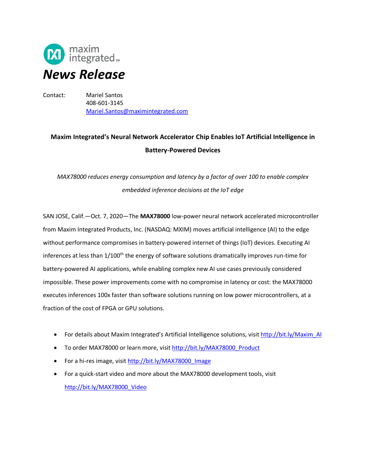

Contact: Mariel Santos 408-601-3145 Mariel.Santos@maximintegrated.com

# **Maxim Integrated's Neural Network Accelerator Chip Enables IoT Artificial Intelligence in Battery-Powered Devices**

*MAX78000 reduces energy consumption and latency by a factor of over 100 to enable complex embedded inference decisions at the IoT edge*

SAN JOSE, Calif.—Oct. 7, 2020—The **MAX78000** low-power neural network accelerated microcontroller from Maxim Integrated Products, Inc. (NASDAQ: MXIM) moves artificial intelligence (AI) to the edge without performance compromises in battery-powered internet of things (IoT) devices. Executing AI inferences at less than 1/100<sup>th</sup> the energy of software solutions dramatically improves run-time for battery-powered AI applications, while enabling complex new AI use cases previously considered impossible. These power improvements come with no compromise in latency or cost: the MAX78000 executes inferences 100x faster than software solutions running on low power microcontrollers, at a fraction of the cost of FPGA or GPU solutions.

- For details about Maxim Integrated's Artificial Intelligence solutions, visit [http://bit.ly/Maxim\\_AI](http://bit.ly/Maxim_AI)
- To order MAX78000 or learn more, visit [http://bit.ly/MAX78000\\_Product](http://bit.ly/MAX78000_Product)
- For a hi-res image, visit http://bit.ly/MAX78000 Image
- For a quick-start video and more about the MAX78000 development tools, visit [http://bit.ly/MAX78000\\_Video](http://bit.ly/MAX78000_Video)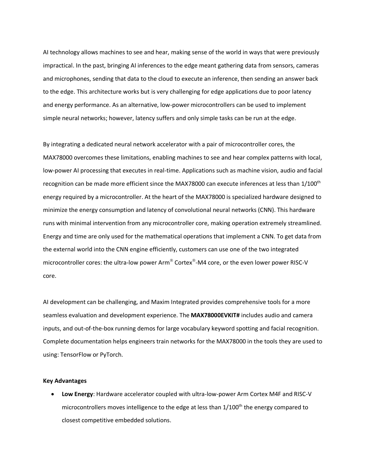AI technology allows machines to see and hear, making sense of the world in ways that were previously impractical. In the past, bringing AI inferences to the edge meant gathering data from sensors, cameras and microphones, sending that data to the cloud to execute an inference, then sending an answer back to the edge. This architecture works but is very challenging for edge applications due to poor latency and energy performance. As an alternative, low-power microcontrollers can be used to implement simple neural networks; however, latency suffers and only simple tasks can be run at the edge.

By integrating a dedicated neural network accelerator with a pair of microcontroller cores, the MAX78000 overcomes these limitations, enabling machines to see and hear complex patterns with local, low-power AI processing that executes in real-time. Applications such as machine vision, audio and facial recognition can be made more efficient since the MAX78000 can execute inferences at less than 1/100<sup>th</sup> energy required by a microcontroller. At the heart of the MAX78000 is specialized hardware designed to minimize the energy consumption and latency of convolutional neural networks (CNN). This hardware runs with minimal intervention from any microcontroller core, making operation extremely streamlined. Energy and time are only used for the mathematical operations that implement a CNN. To get data from the external world into the CNN engine efficiently, customers can use one of the two integrated microcontroller cores: the ultra-low power Arm® Cortex®-M4 core, or the even lower power RISC-V core.

AI development can be challenging, and Maxim Integrated provides comprehensive tools for a more seamless evaluation and development experience. The **MAX78000EVKIT#** includes audio and camera inputs, and out-of-the-box running demos for large vocabulary keyword spotting and facial recognition. Complete documentation helps engineers train networks for the MAX78000 in the tools they are used to using: TensorFlow or PyTorch.

#### **Key Advantages**

• **Low Energy**: Hardware accelerator coupled with ultra-low-power Arm Cortex M4F and RISC-V microcontrollers moves intelligence to the edge at less than 1/100<sup>th</sup> the energy compared to closest competitive embedded solutions.